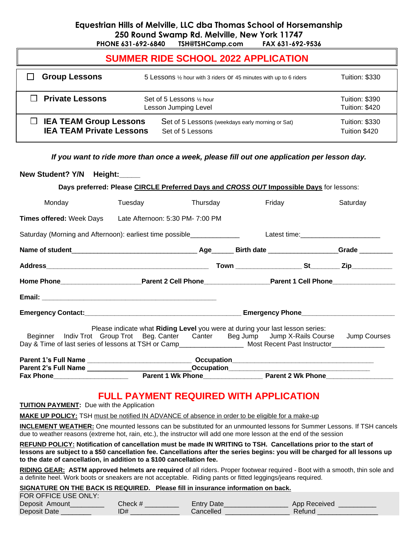# **Equestrian Hills of Melville, LLC dba Thomas School of Horsemanship 250 Round Swamp Rd. Melville, New York 11747**

**PHONE 631-692-6840 TSH@TSHCamp.com FAX 631-692-9536**

| <b>SUMMER RIDE SCHOOL 2022 APPLICATION</b>                       |                                                                      |                                         |  |  |  |  |
|------------------------------------------------------------------|----------------------------------------------------------------------|-----------------------------------------|--|--|--|--|
| <b>Group Lessons</b>                                             | 5 Lessons 1/2 hour with 3 riders OF 45 minutes with up to 6 riders   | <b>Tuition: \$330</b>                   |  |  |  |  |
| $\Box$ Private Lessons                                           | Set of 5 Lessons 1/2 hour<br>Lesson Jumping Level                    | <b>Tuition: \$390</b><br>Tuition: \$420 |  |  |  |  |
| $\Box$ IEA TEAM Group Lessons<br><b>IEA TEAM Private Lessons</b> | Set of 5 Lessons (weekdays early morning or Sat)<br>Set of 5 Lessons | <b>Tuition: \$330</b><br>Tuition \$420  |  |  |  |  |

*If you want to ride more than once a week, please fill out one application per lesson day.*

| New Student? Y/N Height:                                                                                        |                                                                                             |  |          |        |          |
|-----------------------------------------------------------------------------------------------------------------|---------------------------------------------------------------------------------------------|--|----------|--------|----------|
|                                                                                                                 | Days preferred: Please CIRCLE Preferred Days and CROSS OUT Impossible Days for lessons:     |  |          |        |          |
| Monday                                                                                                          | Tuesday                                                                                     |  | Thursday | Friday | Saturday |
| Times offered: Week Days Late Afternoon: 5:30 PM- 7:00 PM                                                       |                                                                                             |  |          |        |          |
|                                                                                                                 |                                                                                             |  |          |        |          |
|                                                                                                                 |                                                                                             |  |          |        |          |
|                                                                                                                 |                                                                                             |  |          |        |          |
| Home Phone <b>Example 2</b> Parent 2 Cell Phone <b>Parent 1 Cell Phone</b> Parent 1 Cell Phone                  |                                                                                             |  |          |        |          |
|                                                                                                                 |                                                                                             |  |          |        |          |
|                                                                                                                 |                                                                                             |  |          |        |          |
|                                                                                                                 | Please indicate what Riding Level you were at during your last lesson series:               |  |          |        |          |
| Day & Time of last series of lessons at TSH or Camp____________________ Most Recent Past Instructor____________ | Beginner Indiv Trot Group Trot Beg. Canter Canter Beg Jump Jump X-Rails Course Jump Courses |  |          |        |          |
|                                                                                                                 |                                                                                             |  |          |        |          |
|                                                                                                                 |                                                                                             |  |          |        |          |
|                                                                                                                 |                                                                                             |  |          |        |          |

# **FULL PAYMENT REQUIRED WITH APPLICATION**

**TUITION PAYMENT:** Due with the Application

**MAKE UP POLICY:** TSH must be notified IN ADVANCE of absence in order to be eligible for a make-up

**INCLEMENT WEATHER:** One mounted lessons can be substituted for an unmounted lessons for Summer Lessons. If TSH cancels due to weather reasons (extreme hot, rain, etc.), the instructor will add one more lesson at the end of the session

**REFUND POLICY: Notification of cancellation must be made IN WRITING to TSH. Cancellations prior to the start of lessons are subject to a \$50 cancellation fee. Cancellations after the series begins: you will be charged for all lessons up to the date of cancellation, in addition to a \$100 cancellation fee.**

**RIDING GEAR: ASTM approved helmets are required** of all riders. Proper footwear required - Boot with a smooth, thin sole and a definite heel. Work boots or sneakers are not acceptable. Riding pants or fitted leggings/jeans required.

#### **SIGNATURE ON THE BACK IS REQUIRED. Please fill in insurance information on back.** FOR OFFICE USE ONLY:

| FUR UFFILE USE UNLY. |         |                   |              |
|----------------------|---------|-------------------|--------------|
| Deposit Amount       | Check # | <b>Entry Date</b> | App Received |
| Deposit Date         | ID#     | Cancelled         | Refunc       |